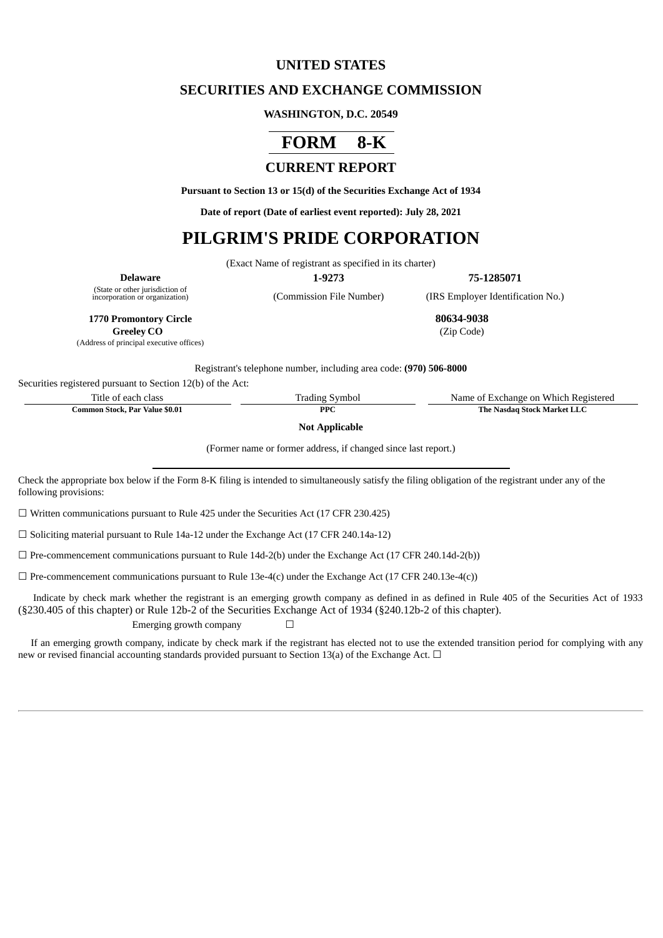# **UNITED STATES**

# **SECURITIES AND EXCHANGE COMMISSION**

#### **WASHINGTON, D.C. 20549**

# **FORM 8-K**

# **CURRENT REPORT**

**Pursuant to Section 13 or 15(d) of the Securities Exchange Act of 1934**

**Date of report (Date of earliest event reported): July 28, 2021**

# **PILGRIM'S PRIDE CORPORATION**

(Exact Name of registrant as specified in its charter)

**Delaware 1-9273 75-1285071**

(State or other jurisdiction of

(Commission File Number) (IRS Employer Identification No.)

**1770 Promontory Circle 80634-9038**

**Greeley CO** (Zip Code)

(Address of principal executive offices)

Registrant's telephone number, including area code: **(970) 506-8000**

Securities registered pursuant to Section 12(b) of the Act:

Title of each class Trading Symbol Name of Exchange on Which Registered

**Common Stock, Par Value \$0.01 PPC PPC The Nasdaq Stock Market LLC** 

**Not Applicable**

(Former name or former address, if changed since last report.)

Check the appropriate box below if the Form 8-K filing is intended to simultaneously satisfy the filing obligation of the registrant under any of the following provisions:

☐ Written communications pursuant to Rule 425 under the Securities Act (17 CFR 230.425)

☐ Soliciting material pursuant to Rule 14a-12 under the Exchange Act (17 CFR 240.14a-12)

 $\Box$  Pre-commencement communications pursuant to Rule 14d-2(b) under the Exchange Act (17 CFR 240.14d-2(b))

 $\Box$  Pre-commencement communications pursuant to Rule 13e-4(c) under the Exchange Act (17 CFR 240.13e-4(c))

Indicate by check mark whether the registrant is an emerging growth company as defined in as defined in Rule 405 of the Securities Act of 1933 (§230.405 of this chapter) or Rule 12b-2 of the Securities Exchange Act of 1934 (§240.12b-2 of this chapter).

Emerging growth company  $\Box$ 

If an emerging growth company, indicate by check mark if the registrant has elected not to use the extended transition period for complying with any new or revised financial accounting standards provided pursuant to Section 13(a) of the Exchange Act.  $\Box$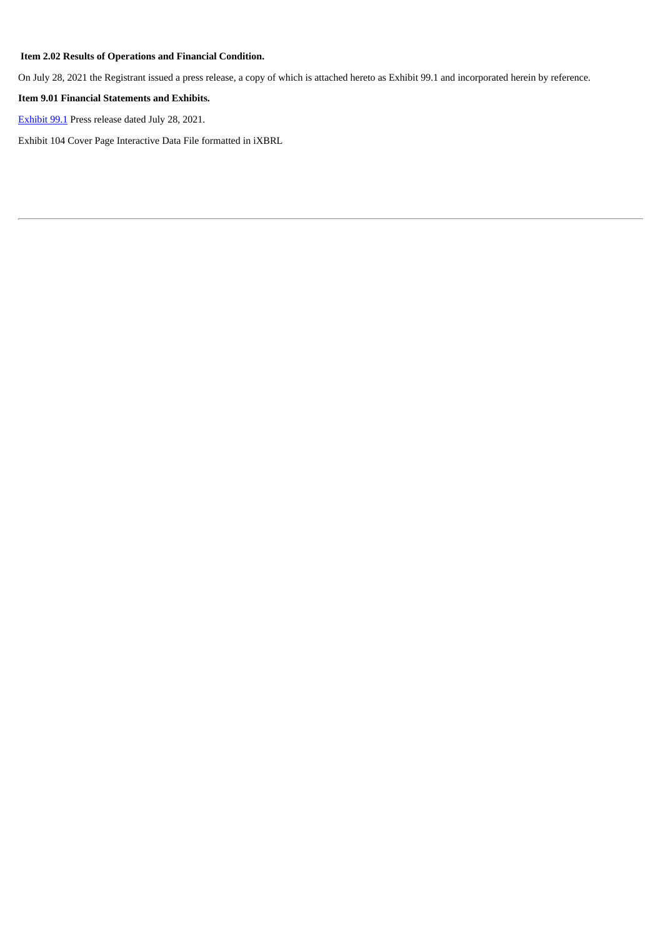#### **Item 2.02 Results of Operations and Financial Condition.**

On July 28, 2021 the Registrant issued a press release, a copy of which is attached hereto as Exhibit 99.1 and incorporated herein by reference.

# **Item 9.01 Financial Statements and Exhibits.**

[Exhibit](#page-3-0) 99.1 Press release dated July 28, 2021.

Exhibit 104 Cover Page Interactive Data File formatted in iXBRL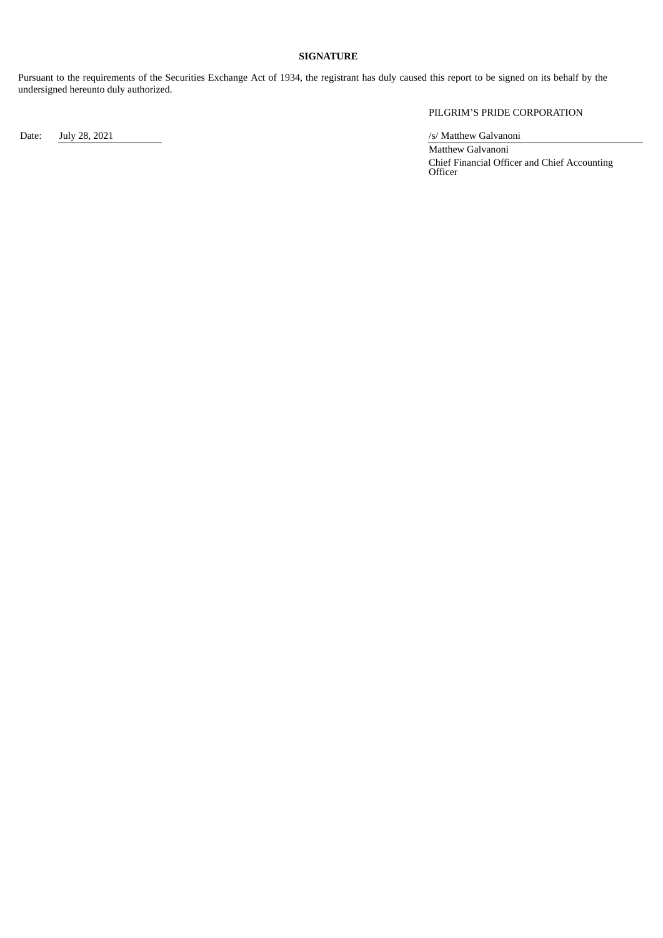# **SIGNATURE**

Pursuant to the requirements of the Securities Exchange Act of 1934, the registrant has duly caused this report to be signed on its behalf by the undersigned hereunto duly authorized.

PILGRIM'S PRIDE CORPORATION

Date: July 28, 2021 /s/ Matthew Galvanoni

Matthew Galvanoni Chief Financial Officer and Chief Accounting **Officer**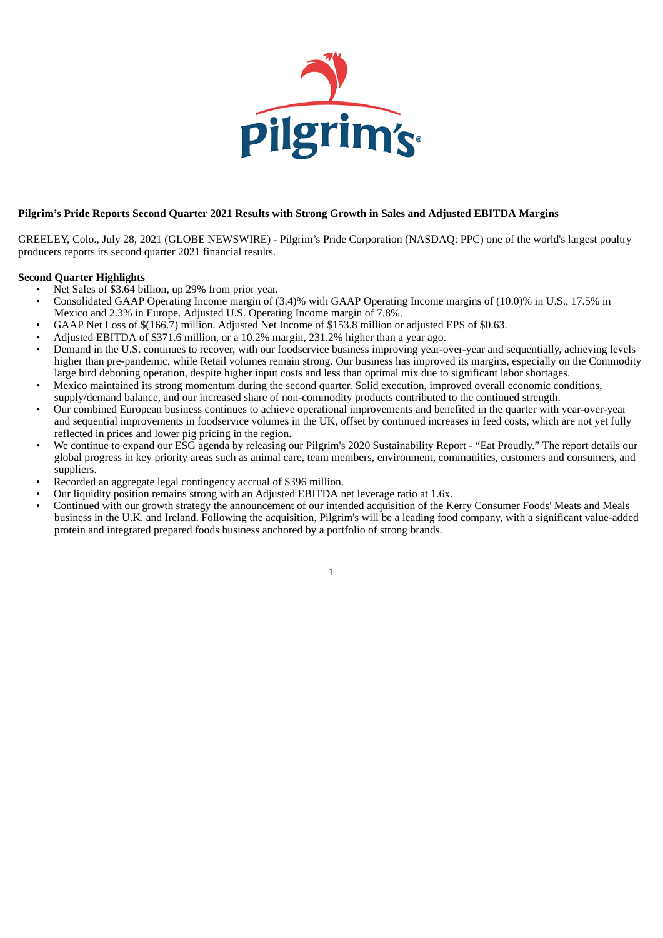

#### <span id="page-3-0"></span>**Pilgrim's Pride Reports Second Quarter 2021 Results with Strong Growth in Sales and Adjusted EBITDA Margins**

GREELEY, Colo., July 28, 2021 (GLOBE NEWSWIRE) - Pilgrim's Pride Corporation (NASDAQ: PPC) one of the world's largest poultry producers reports its second quarter 2021 financial results.

#### **Second Quarter Highlights**

- Net Sales of \$3.64 billion, up 29% from prior year.
- Consolidated GAAP Operating Income margin of (3.4)% with GAAP Operating Income margins of (10.0)% in U.S., 17.5% in Mexico and 2.3% in Europe. Adjusted U.S. Operating Income margin of 7.8%.
- GAAP Net Loss of \$(166.7) million. Adjusted Net Income of \$153.8 million or adjusted EPS of \$0.63.
- Adjusted EBITDA of \$371.6 million, or a 10.2% margin, 231.2% higher than a year ago.
- Demand in the U.S. continues to recover, with our foodservice business improving year-over-year and sequentially, achieving levels higher than pre-pandemic, while Retail volumes remain strong. Our business has improved its margins, especially on the Commodity large bird deboning operation, despite higher input costs and less than optimal mix due to significant labor shortages.
- Mexico maintained its strong momentum during the second quarter. Solid execution, improved overall economic conditions, supply/demand balance, and our increased share of non-commodity products contributed to the continued strength.
- Our combined European business continues to achieve operational improvements and benefited in the quarter with year-over-year and sequential improvements in foodservice volumes in the UK, offset by continued increases in feed costs, which are not yet fully reflected in prices and lower pig pricing in the region.
- We continue to expand our ESG agenda by releasing our Pilgrim's 2020 Sustainability Report "Eat Proudly." The report details our global progress in key priority areas such as animal care, team members, environment, communities, customers and consumers, and suppliers.
- Recorded an aggregate legal contingency accrual of \$396 million.
- Our liquidity position remains strong with an Adjusted EBITDA net leverage ratio at 1.6x.
- Continued with our growth strategy the announcement of our intended acquisition of the Kerry Consumer Foods' Meats and Meals business in the U.K. and Ireland. Following the acquisition, Pilgrim's will be a leading food company, with a significant value-added protein and integrated prepared foods business anchored by a portfolio of strong brands.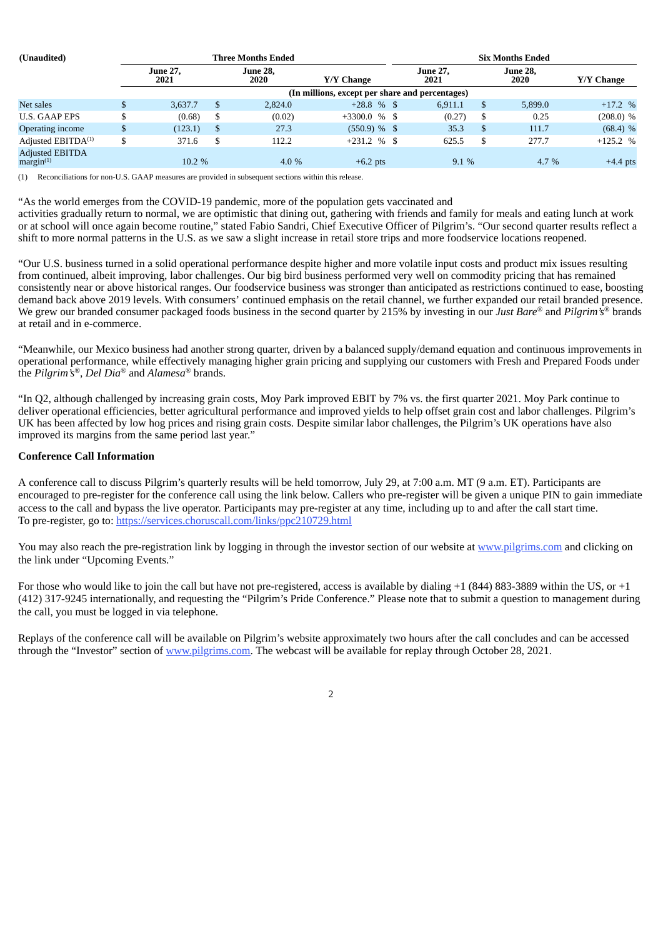| (Unaudited)<br><b>Three Months Ended</b>        |    |                         |    |                         |                                                 |  | <b>Six Months Ended</b> |    |                         |            |  |  |  |  |  |  |  |
|-------------------------------------------------|----|-------------------------|----|-------------------------|-------------------------------------------------|--|-------------------------|----|-------------------------|------------|--|--|--|--|--|--|--|
|                                                 |    | <b>June 27,</b><br>2021 |    | <b>June 28,</b><br>2020 | Y/Y Change                                      |  | <b>June 27,</b><br>2021 |    | <b>June 28,</b><br>2020 | Y/Y Change |  |  |  |  |  |  |  |
|                                                 |    |                         |    |                         | (In millions, except per share and percentages) |  |                         |    |                         |            |  |  |  |  |  |  |  |
| Net sales                                       |    | 3.637.7                 | S  | 2,824.0                 | $+28.8%$                                        |  | 6,911.1                 | \$ | 5,899.0                 | $+17.2$ %  |  |  |  |  |  |  |  |
| U.S. GAAP EPS                                   |    | (0.68)                  | \$ | (0.02)                  | $+3300.0 %$ \$                                  |  | (0.27)                  | S  | 0.25                    | (208.0) %  |  |  |  |  |  |  |  |
| <b>Operating income</b>                         | \$ | (123.1)                 | \$ | 27.3                    | (550.9) %                                       |  | 35.3                    | \$ | 111.7                   | $(68.4)$ % |  |  |  |  |  |  |  |
| Adjusted EBITD $A^{(1)}$                        | \$ | 371.6                   | \$ | 112.2                   | $+231.2 \%$ \$                                  |  | 625.5                   | \$ | 277.7                   | $+125.2%$  |  |  |  |  |  |  |  |
| <b>Adjusted EBITDA</b><br>margin <sup>(1)</sup> |    | 10.2 %                  |    | 4.0 $%$                 | $+6.2$ pts                                      |  | $9.1\%$                 |    | $4.7\%$                 | $+4.4$ pts |  |  |  |  |  |  |  |

(1) Reconciliations for non-U.S. GAAP measures are provided in subsequent sections within this release.

"As the world emerges from the COVID-19 pandemic, more of the population gets vaccinated and

activities gradually return to normal, we are optimistic that dining out, gathering with friends and family for meals and eating lunch at work or at school will once again become routine," stated Fabio Sandri, Chief Executive Officer of Pilgrim's. "Our second quarter results reflect a shift to more normal patterns in the U.S. as we saw a slight increase in retail store trips and more foodservice locations reopened.

"Our U.S. business turned in a solid operational performance despite higher and more volatile input costs and product mix issues resulting from continued, albeit improving, labor challenges. Our big bird business performed very well on commodity pricing that has remained consistently near or above historical ranges. Our foodservice business was stronger than anticipated as restrictions continued to ease, boosting demand back above 2019 levels. With consumers' continued emphasis on the retail channel, we further expanded our retail branded presence. We grew our branded consumer packaged foods business in the second quarter by 215% by investing in our *Just Bare*<sup>®</sup> and *Pilgrim's*<sup>®</sup> brands at retail and in e-commerce.

"Meanwhile, our Mexico business had another strong quarter, driven by a balanced supply/demand equation and continuous improvements in operational performance, while effectively managing higher grain pricing and supplying our customers with Fresh and Prepared Foods under the *Pilgrim's* , *Del Dia* and *Alamesa* brands. *® ® ®*

"In Q2, although challenged by increasing grain costs, Moy Park improved EBIT by 7% vs. the first quarter 2021. Moy Park continue to deliver operational efficiencies, better agricultural performance and improved yields to help offset grain cost and labor challenges. Pilgrim's UK has been affected by low hog prices and rising grain costs. Despite similar labor challenges, the Pilgrim's UK operations have also improved its margins from the same period last year."

# **Conference Call Information**

A conference call to discuss Pilgrim's quarterly results will be held tomorrow, July 29, at 7:00 a.m. MT (9 a.m. ET). Participants are encouraged to pre-register for the conference call using the link below. Callers who pre-register will be given a unique PIN to gain immediate access to the call and bypass the live operator. Participants may pre-register at any time, including up to and after the call start time. To pre-register, go to: https://services.choruscall.com/links/ppc210729.html

You may also reach the pre-registration link by logging in through the investor section of our website at www.pilgrims.com and clicking on the link under "Upcoming Events."

For those who would like to join the call but have not pre-registered, access is available by dialing +1 (844) 883-3889 within the US, or +1 (412) 317-9245 internationally, and requesting the "Pilgrim's Pride Conference." Please note that to submit a question to management during the call, you must be logged in via telephone.

Replays of the conference call will be available on Pilgrim's website approximately two hours after the call concludes and can be accessed through the "Investor" section of www.pilgrims.com. The webcast will be available for replay through October 28, 2021.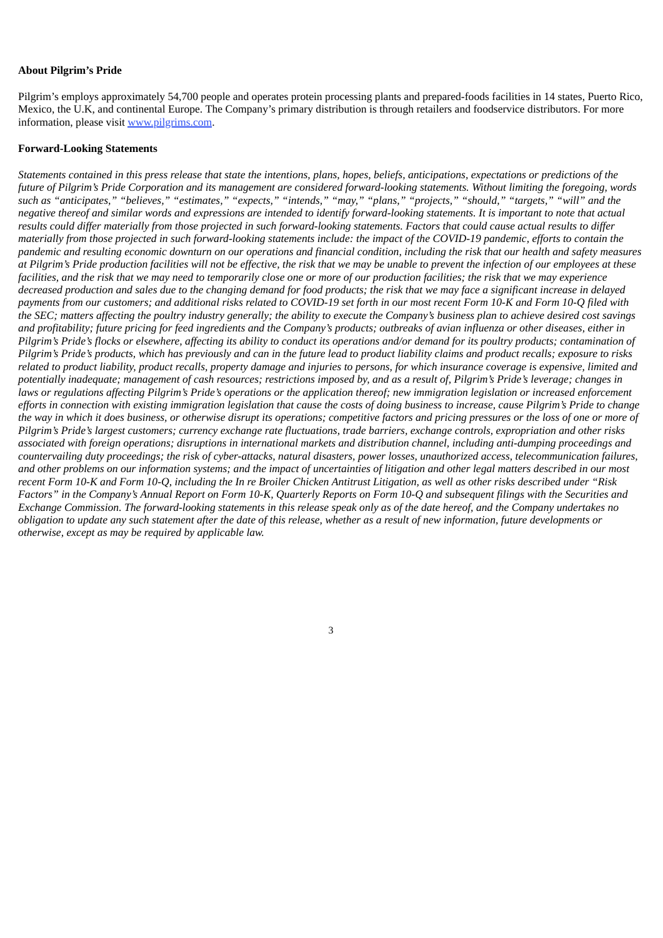# **About Pilgrim's Pride**

Pilgrim's employs approximately 54,700 people and operates protein processing plants and prepared-foods facilities in 14 states, Puerto Rico, Mexico, the U.K, and continental Europe. The Company's primary distribution is through retailers and foodservice distributors. For more information, please visit www.pilgrims.com.

#### **Forward-Looking Statements**

Statements contained in this press release that state the intentions, plans, hopes, beliefs, anticipations, expectations or predictions of the future of Pilgrim's Pride Corporation and its management are considered forward-looking statements. Without limiting the foregoing, words such as "anticipates," "believes," "estimates," "expects," "intends," "may," "plans," "projects," "should," "targets," "will" and the negative thereof and similar words and expressions are intended to identify forward-looking statements. It is important to note that actual results could differ materially from those projected in such forward-looking statements. Factors that could cause actual results to differ materially from those projected in such forward-looking statements include: the impact of the COVID-19 pandemic, efforts to contain the pandemic and resulting economic downturn on our operations and financial condition, including the risk that our health and safety measures at Pilarim's Pride production facilities will not be effective, the risk that we may be unable to prevent the infection of our employees at these facilities, and the risk that we may need to temporarily close one or more of our production facilities; the risk that we may experience decreased production and sales due to the changing demand for food products; the risk that we may face a significant increase in delayed payments from our customers; and additional risks related to COVID-19 set forth in our most recent Form 10-K and Form 10-O filed with the SEC; matters affecting the poultry industry generally; the ability to execute the Company's business plan to achieve desired cost savings and profitability; future pricing for feed ingredients and the Company's products; outbreaks of avian influenza or other diseases, either in Pilgrim's Pride's flocks or elsewhere, affecting its ability to conduct its operations and/or demand for its poultry products; contamination of Pilgrim's Pride's products, which has previously and can in the future lead to product liability claims and product recalls; exposure to risks related to product liability, product recalls, property damage and injuries to persons, for which insurance coverage is expensive, limited and potentially inadequate; management of cash resources; restrictions imposed by, and as a result of, Pilgrim's Pride's leverage; changes in laws or regulations affecting Pilgrim's Pride's operations or the application thereof; new immigration legislation or increased enforcement efforts in connection with existing immigration legislation that cause the costs of doing business to increase, cause Pilgrim's Pride to change the way in which it does business, or otherwise disrupt its operations; competitive factors and pricing pressures or the loss of one or more of Pilgrim's Pride's largest customers; currency exchange rate fluctuations, trade barriers, exchange controls, expropriation and other risks associated with foreign operations; disruptions in international markets and distribution channel, including anti-dumping proceedings and countervailing duty proceedings; the risk of cyber-attacks, natural disasters, power losses, unauthorized access, telecommunication failures, and other problems on our information systems; and the impact of uncertainties of litigation and other legal matters described in our most recent Form 10-K and Form 10-O, including the In re Broiler Chicken Antitrust Litigation, as well as other risks described under "Risk Factors" in the Company's Annual Report on Form 10-K, Quarterly Reports on Form 10-Q and subsequent filings with the Securities and Exchange Commission. The forward-looking statements in this release speak only as of the date hereof, and the Company undertakes no obligation to update any such statement after the date of this release, whether as a result of new information, future developments or *otherwise, except as may be required by applicable law.*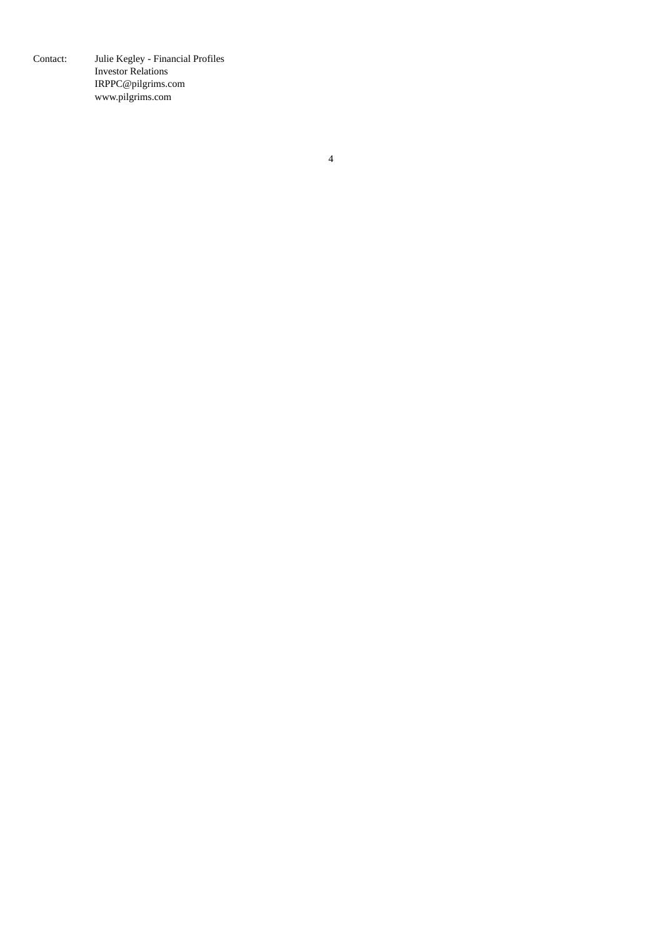Contact: Julie Kegley - Financial Profiles Investor Relations IRPPC@pilgrims.com www.pilgrims.com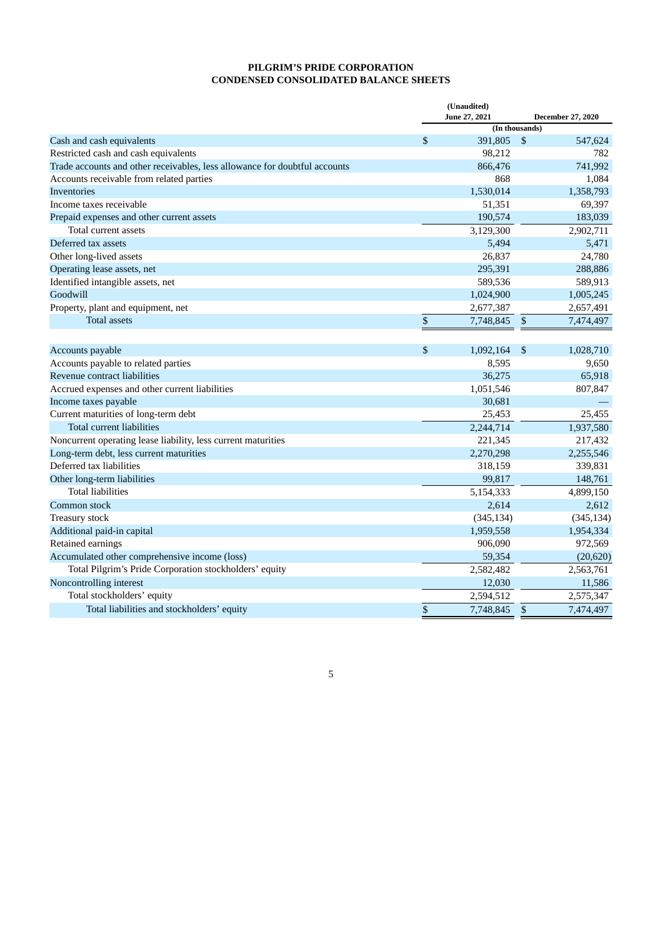# **PILGRIM'S PRIDE CORPORATION CONDENSED CONSOLIDATED BALANCE SHEETS**

|                                                                            | (Unaudited)<br>June 27, 2021 |                | <b>December 27, 2020</b> |
|----------------------------------------------------------------------------|------------------------------|----------------|--------------------------|
|                                                                            | (In thousands)               |                |                          |
| Cash and cash equivalents                                                  | \$<br>391,805                | $\mathfrak{s}$ | 547,624                  |
| Restricted cash and cash equivalents                                       | 98,212                       |                | 782                      |
| Trade accounts and other receivables, less allowance for doubtful accounts | 866,476                      |                | 741,992                  |
| Accounts receivable from related parties                                   | 868                          |                | 1,084                    |
| Inventories                                                                | 1,530,014                    |                | 1,358,793                |
| Income taxes receivable                                                    | 51,351                       |                | 69,397                   |
| Prepaid expenses and other current assets                                  | 190,574                      |                | 183,039                  |
| Total current assets                                                       | 3,129,300                    |                | 2,902,711                |
| Deferred tax assets                                                        | 5,494                        |                | 5,471                    |
| Other long-lived assets                                                    | 26,837                       |                | 24,780                   |
| Operating lease assets, net                                                | 295,391                      |                | 288,886                  |
| Identified intangible assets, net                                          | 589,536                      |                | 589,913                  |
| Goodwill                                                                   | 1,024,900                    |                | 1,005,245                |
| Property, plant and equipment, net                                         | 2,677,387                    |                | 2,657,491                |
| Total assets                                                               | \$<br>7,748,845              | \$             | 7,474,497                |
|                                                                            |                              |                |                          |
| Accounts payable                                                           | \$<br>1,092,164              | \$             | 1,028,710                |
| Accounts payable to related parties                                        | 8,595                        |                | 9,650                    |
| Revenue contract liabilities                                               | 36,275                       |                | 65,918                   |
| Accrued expenses and other current liabilities                             | 1,051,546                    |                | 807,847                  |
| Income taxes payable                                                       | 30,681                       |                |                          |
| Current maturities of long-term debt                                       | 25,453                       |                | 25,455                   |
| Total current liabilities                                                  | 2,244,714                    |                | 1,937,580                |
| Noncurrent operating lease liability, less current maturities              | 221,345                      |                | 217,432                  |
| Long-term debt, less current maturities                                    | 2,270,298                    |                | 2,255,546                |
| Deferred tax liabilities                                                   | 318,159                      |                | 339,831                  |
| Other long-term liabilities                                                | 99,817                       |                | 148,761                  |
| <b>Total liabilities</b>                                                   | 5,154,333                    |                | 4,899,150                |
| Common stock                                                               | 2,614                        |                | 2,612                    |
| Treasury stock                                                             | (345, 134)                   |                | (345, 134)               |
| Additional paid-in capital                                                 | 1,959,558                    |                | 1,954,334                |
| Retained earnings                                                          | 906,090                      |                | 972,569                  |
| Accumulated other comprehensive income (loss)                              | 59,354                       |                | (20, 620)                |
| Total Pilgrim's Pride Corporation stockholders' equity                     | 2,582,482                    |                | 2,563,761                |
| Noncontrolling interest                                                    | 12,030                       |                | 11,586                   |
| Total stockholders' equity                                                 | 2,594,512                    |                | 2,575,347                |
| Total liabilities and stockholders' equity                                 | \$<br>7,748,845              | $\mathbb{S}$   | 7,474,497                |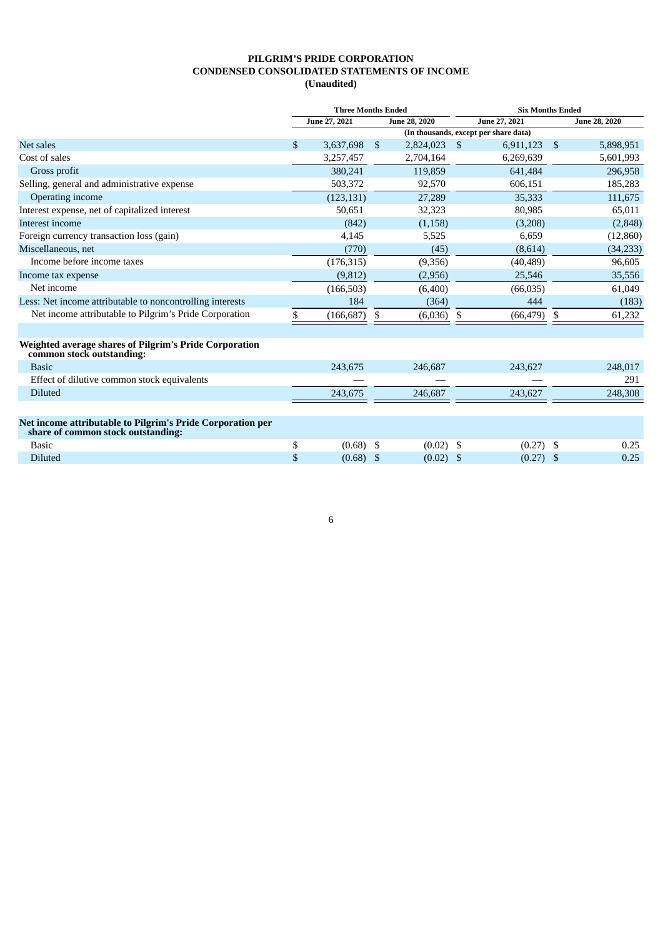# **PILGRIM'S PRIDE CORPORATION CONDENSED CONSOLIDATED STATEMENTS OF INCOME (Unaudited)**

|                                                                                            | <b>Three Months Ended</b> |     |               | <b>Six Months Ended</b> |                                       |    |               |  |
|--------------------------------------------------------------------------------------------|---------------------------|-----|---------------|-------------------------|---------------------------------------|----|---------------|--|
|                                                                                            | June 27, 2021             |     | June 28, 2020 |                         | June 27, 2021                         |    | June 28, 2020 |  |
|                                                                                            |                           |     |               |                         | (In thousands, except per share data) |    |               |  |
| Net sales                                                                                  | \$<br>3,637,698           | \$. | 2,824,023     | <b>S</b>                | 6,911,123                             | -S | 5,898,951     |  |
| Cost of sales                                                                              | 3,257,457                 |     | 2,704,164     |                         | 6,269,639                             |    | 5,601,993     |  |
| Gross profit                                                                               | 380,241                   |     | 119,859       |                         | 641,484                               |    | 296,958       |  |
| Selling, general and administrative expense                                                | 503,372                   |     | 92,570        |                         | 606,151                               |    | 185,283       |  |
| Operating income                                                                           | (123, 131)                |     | 27,289        |                         | 35,333                                |    | 111,675       |  |
| Interest expense, net of capitalized interest                                              | 50,651                    |     | 32,323        |                         | 80,985                                |    | 65,011        |  |
| Interest income                                                                            | (842)                     |     | (1,158)       |                         | (3,208)                               |    | (2,848)       |  |
| Foreign currency transaction loss (gain)                                                   | 4,145                     |     | 5,525         |                         | 6,659                                 |    | (12,860)      |  |
| Miscellaneous, net                                                                         | (770)                     |     | (45)          |                         | (8,614)                               |    | (34, 233)     |  |
| Income before income taxes                                                                 | (176, 315)                |     | (9,356)       |                         | (40, 489)                             |    | 96,605        |  |
| Income tax expense                                                                         | (9, 812)                  |     | (2,956)       |                         | 25,546                                |    | 35,556        |  |
| Net income                                                                                 | (166, 503)                |     | (6,400)       |                         | (66, 035)                             |    | 61,049        |  |
| Less: Net income attributable to noncontrolling interests                                  | 184                       |     | (364)         |                         | 444                                   |    | (183)         |  |
| Net income attributable to Pilgrim's Pride Corporation                                     | (166, 687)                | \$  | (6,036)       | S                       | (66, 479)                             | S  | 61,232        |  |
|                                                                                            |                           |     |               |                         |                                       |    |               |  |
| <b>Weighted average shares of Pilgrim's Pride Corporation</b><br>common stock outstanding: |                           |     |               |                         |                                       |    |               |  |
| <b>Basic</b>                                                                               | 243,675                   |     | 246,687       |                         | 243,627                               |    | 248,017       |  |
| Effect of dilutive common stock equivalents                                                |                           |     |               |                         |                                       |    | 291           |  |
| <b>Diluted</b>                                                                             | 243,675                   |     | 246,687       |                         | 243,627                               |    | 248,308       |  |
|                                                                                            |                           |     |               |                         |                                       |    |               |  |

# **Net income attributable to Pilgrim's Pride Corporation per**

| .<br>share of common stock outstanding: |        |        |        |      |
|-----------------------------------------|--------|--------|--------|------|
| <b>Basic</b>                            | (0.68) | (0.02) | (0.27) | 0.25 |
| <b>Diluted</b>                          | (0.68) | (0.02) | (0.27) | 0.25 |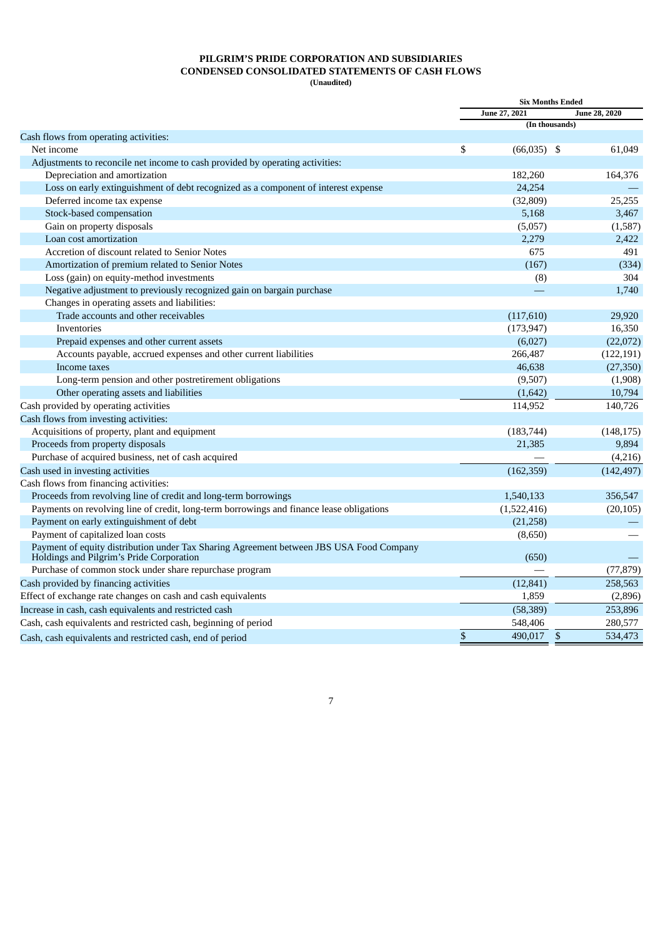# **PILGRIM'S PRIDE CORPORATION AND SUBSIDIARIES CONDENSED CONSOLIDATED STATEMENTS OF CASH FLOWS**

**(Unaudited)**

|                                                                                                                                     | <b>Six Months Ended</b> |                |            |                      |  |  |
|-------------------------------------------------------------------------------------------------------------------------------------|-------------------------|----------------|------------|----------------------|--|--|
|                                                                                                                                     |                         | June 27, 2021  |            | <b>June 28, 2020</b> |  |  |
|                                                                                                                                     |                         | (In thousands) |            |                      |  |  |
| Cash flows from operating activities:                                                                                               |                         |                |            |                      |  |  |
| Net income                                                                                                                          | \$                      | $(66,035)$ \$  |            | 61,049               |  |  |
| Adjustments to reconcile net income to cash provided by operating activities:                                                       |                         |                |            |                      |  |  |
| Depreciation and amortization                                                                                                       |                         | 182,260        |            | 164,376              |  |  |
| Loss on early extinguishment of debt recognized as a component of interest expense                                                  |                         | 24,254         |            |                      |  |  |
| Deferred income tax expense                                                                                                         |                         | (32, 809)      |            | 25,255               |  |  |
| Stock-based compensation                                                                                                            |                         | 5,168          |            | 3,467                |  |  |
| Gain on property disposals                                                                                                          |                         | (5,057)        |            | (1,587)              |  |  |
| Loan cost amortization                                                                                                              |                         | 2,279          |            | 2,422                |  |  |
| Accretion of discount related to Senior Notes                                                                                       |                         | 675            |            | 491                  |  |  |
| Amortization of premium related to Senior Notes                                                                                     |                         | (167)          |            | (334)                |  |  |
| Loss (gain) on equity-method investments                                                                                            |                         | (8)            |            | 304                  |  |  |
| Negative adjustment to previously recognized gain on bargain purchase                                                               |                         |                |            | 1.740                |  |  |
| Changes in operating assets and liabilities:                                                                                        |                         |                |            |                      |  |  |
| Trade accounts and other receivables                                                                                                |                         | (117,610)      |            | 29,920               |  |  |
| Inventories                                                                                                                         |                         | (173, 947)     |            | 16,350               |  |  |
| Prepaid expenses and other current assets                                                                                           |                         | (6,027)        |            | (22,072)             |  |  |
| Accounts payable, accrued expenses and other current liabilities                                                                    |                         | 266,487        |            | (122, 191)           |  |  |
| Income taxes                                                                                                                        |                         | 46.638         |            | (27, 350)            |  |  |
| Long-term pension and other postretirement obligations                                                                              |                         | (9,507)        |            | (1,908)              |  |  |
| Other operating assets and liabilities                                                                                              |                         | (1,642)        |            | 10,794               |  |  |
| Cash provided by operating activities                                                                                               |                         | 114,952        |            | 140,726              |  |  |
| Cash flows from investing activities:                                                                                               |                         |                |            |                      |  |  |
| Acquisitions of property, plant and equipment                                                                                       |                         | (183, 744)     |            | (148, 175)           |  |  |
| Proceeds from property disposals                                                                                                    |                         | 21,385         |            | 9,894                |  |  |
| Purchase of acquired business, net of cash acquired                                                                                 |                         |                |            | (4,216)              |  |  |
| Cash used in investing activities                                                                                                   |                         | (162, 359)     |            | (142, 497)           |  |  |
| Cash flows from financing activities:                                                                                               |                         |                |            |                      |  |  |
| Proceeds from revolving line of credit and long-term borrowings                                                                     |                         | 1,540,133      |            | 356,547              |  |  |
| Payments on revolving line of credit, long-term borrowings and finance lease obligations                                            |                         | (1,522,416)    |            | (20, 105)            |  |  |
| Payment on early extinguishment of debt                                                                                             |                         | (21,258)       |            |                      |  |  |
| Payment of capitalized loan costs                                                                                                   |                         | (8,650)        |            |                      |  |  |
| Payment of equity distribution under Tax Sharing Agreement between JBS USA Food Company<br>Holdings and Pilgrim's Pride Corporation |                         | (650)          |            |                      |  |  |
| Purchase of common stock under share repurchase program                                                                             |                         |                |            | (77, 879)            |  |  |
| Cash provided by financing activities                                                                                               |                         | (12, 841)      |            | 258,563              |  |  |
| Effect of exchange rate changes on cash and cash equivalents                                                                        |                         | 1,859          |            | (2,896)              |  |  |
| Increase in cash, cash equivalents and restricted cash                                                                              |                         | (58, 389)      |            | 253,896              |  |  |
| Cash, cash equivalents and restricted cash, beginning of period                                                                     |                         | 548,406        |            | 280,577              |  |  |
| Cash, cash equivalents and restricted cash, end of period                                                                           | \$                      | 490,017        | $\sqrt{3}$ | 534,473              |  |  |
|                                                                                                                                     |                         |                |            |                      |  |  |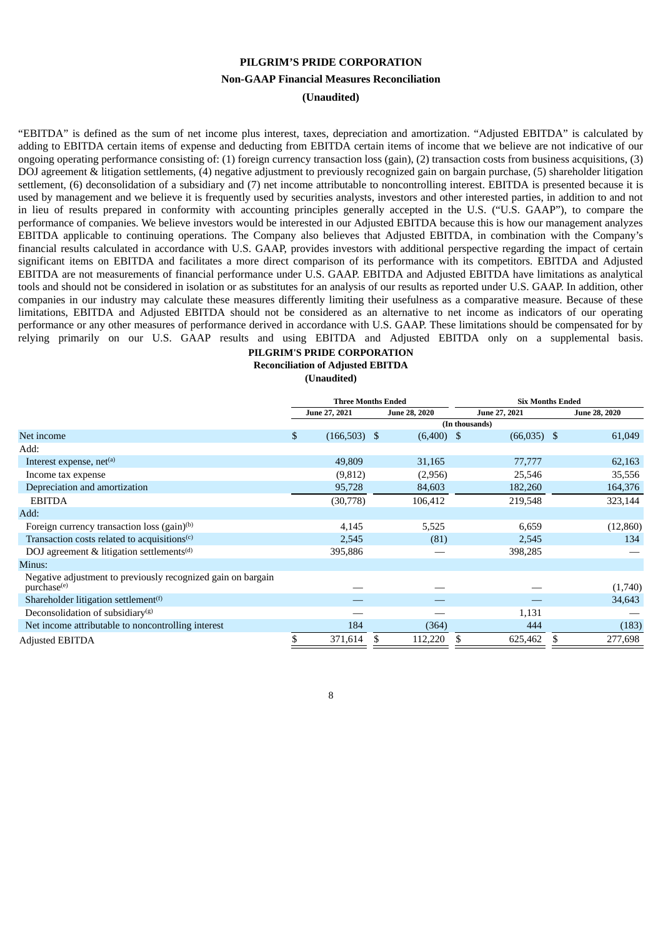# **PILGRIM'S PRIDE CORPORATION Non-GAAP Financial Measures Reconciliation**

#### **(Unaudited)**

"EBITDA" is defined as the sum of net income plus interest, taxes, depreciation and amortization. "Adjusted EBITDA" is calculated by adding to EBITDA certain items of expense and deducting from EBITDA certain items of income that we believe are not indicative of our ongoing operating performance consisting of: (1) foreign currency transaction loss (gain), (2) transaction costs from business acquisitions, (3) DOJ agreement & litigation settlements, (4) negative adjustment to previously recognized gain on bargain purchase, (5) shareholder litigation settlement, (6) deconsolidation of a subsidiary and (7) net income attributable to noncontrolling interest. EBITDA is presented because it is used by management and we believe it is frequently used by securities analysts, investors and other interested parties, in addition to and not in lieu of results prepared in conformity with accounting principles generally accepted in the U.S. ("U.S. GAAP"), to compare the performance of companies. We believe investors would be interested in our Adjusted EBITDA because this is how our management analyzes EBITDA applicable to continuing operations. The Company also believes that Adjusted EBITDA, in combination with the Company's financial results calculated in accordance with U.S. GAAP, provides investors with additional perspective regarding the impact of certain significant items on EBITDA and facilitates a more direct comparison of its performance with its competitors. EBITDA and Adjusted EBITDA are not measurements of financial performance under U.S. GAAP. EBITDA and Adjusted EBITDA have limitations as analytical tools and should not be considered in isolation or as substitutes for an analysis of our results as reported under U.S. GAAP. In addition, other companies in our industry may calculate these measures differently limiting their usefulness as a comparative measure. Because of these limitations, EBITDA and Adjusted EBITDA should not be considered as an alternative to net income as indicators of our operating performance or any other measures of performance derived in accordance with U.S. GAAP. These limitations should be compensated for by relying primarily on our U.S. GAAP results and using EBITDA and Adjusted EBITDA only on a supplemental basis.

# **PILGRIM'S PRIDE CORPORATION Reconciliation of Adjusted EBITDA (Unaudited)**

|                                                                                         |              | <b>Three Months Ended</b> |               | <b>Six Months Ended</b> |  |               |  |  |
|-----------------------------------------------------------------------------------------|--------------|---------------------------|---------------|-------------------------|--|---------------|--|--|
|                                                                                         |              | June 27, 2021             | June 28, 2020 | June 27, 2021           |  | June 28, 2020 |  |  |
|                                                                                         |              |                           |               | (In thousands)          |  |               |  |  |
| Net income                                                                              | $\mathbb{S}$ | $(166,503)$ \$            | $(6,400)$ \$  | $(66,035)$ \$           |  | 61,049        |  |  |
| Add:                                                                                    |              |                           |               |                         |  |               |  |  |
| Interest expense, net <sup>(a)</sup>                                                    |              | 49,809                    | 31,165        | 77,777                  |  | 62,163        |  |  |
| Income tax expense                                                                      |              | (9, 812)                  | (2,956)       | 25,546                  |  | 35,556        |  |  |
| Depreciation and amortization                                                           |              | 95,728                    | 84,603        | 182,260                 |  | 164,376       |  |  |
| <b>EBITDA</b>                                                                           |              | (30,778)                  | 106,412       | 219,548                 |  | 323,144       |  |  |
| Add:                                                                                    |              |                           |               |                         |  |               |  |  |
| Foreign currency transaction loss $(gain)^{(b)}$                                        |              | 4,145                     | 5,525         | 6,659                   |  | (12, 860)     |  |  |
| Transaction costs related to acquisitions <sup>(c)</sup>                                |              | 2,545                     | (81)          | 2,545                   |  | 134           |  |  |
| DOJ agreement & litigation settlements <sup>(d)</sup>                                   |              | 395,886                   |               | 398,285                 |  |               |  |  |
| Minus:                                                                                  |              |                           |               |                         |  |               |  |  |
| Negative adjustment to previously recognized gain on bargain<br>purchase <sup>(e)</sup> |              |                           |               |                         |  | (1,740)       |  |  |
| Shareholder litigation settlement <sup>(f)</sup>                                        |              |                           |               |                         |  | 34,643        |  |  |
| Deconsolidation of subsidiary <sup>(g)</sup>                                            |              |                           |               | 1,131                   |  |               |  |  |
| Net income attributable to noncontrolling interest                                      |              | 184                       | (364)         | 444                     |  | (183)         |  |  |
| <b>Adjusted EBITDA</b>                                                                  |              | 371,614                   | 112,220       | 625,462                 |  | 277,698       |  |  |

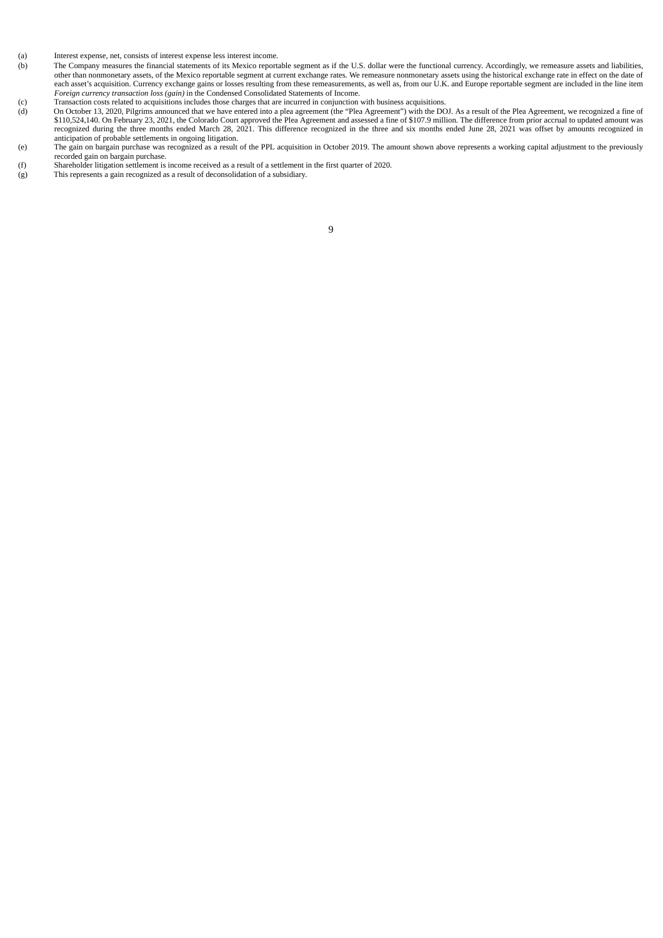- (a) Interest expense, net, consists of interest expense less interest income.<br>
(b) The Company measures the financial statements of its Mexico report The Company measures the financial statements of its Mexico reportable segment as if the U.S. dollar were the functional currency. Accordingly, we remeasure assets and liabilities, other than nonmonetary assets, of the Mexico reportable segment at current exchange rates. We remeasure nonmonetary assets using the historical exchange rate in effect on the date of each asset's acquisition. Currency exchange gains or losses resulting from these remeasurements, as well as, from our U.K. and Europe reportable segment are included in the line item *Foreign currency transaction loss (gain)* in the Condensed Consolidated Statements of Income.
- (c) Transaction costs related to acquisitions includes those charges that are incurred in conjunction with business acquisitions.<br>
(d) On October 13, 2020, Pilgrims announced that we have entered into a plea agreement (the
- (d) On October 13, 2020, Pilgrims announced that we have entered into a plea agreement (the "Plea Agreement") with the DOJ. As a result of the Plea Agreement, we recognized a fine of \$110,524,140. On February 23, 2021, the Colorado Court approved the Plea Agreement and assessed a fine of \$107.9 million. The difference from prior accrual to updated amount was recognized during the three months ended March 28, 2021. This difference recognized in the three and six months ended June 28, 2021 was offset by amounts recognized in anticipation of probable settlements in ongoing litigation.
- (e) The gain on bargain purchase was recognized as a result of the PPL acquisition in October 2019. The amount shown above represents a working capital adjustment to the previously recorded gain on bargain purchase.
- (f) Shareholder litigation settlement is income received as a result of a settlement in the first quarter of 2020.
- This represents a gain recognized as a result of deconsolidation of a subsidiary.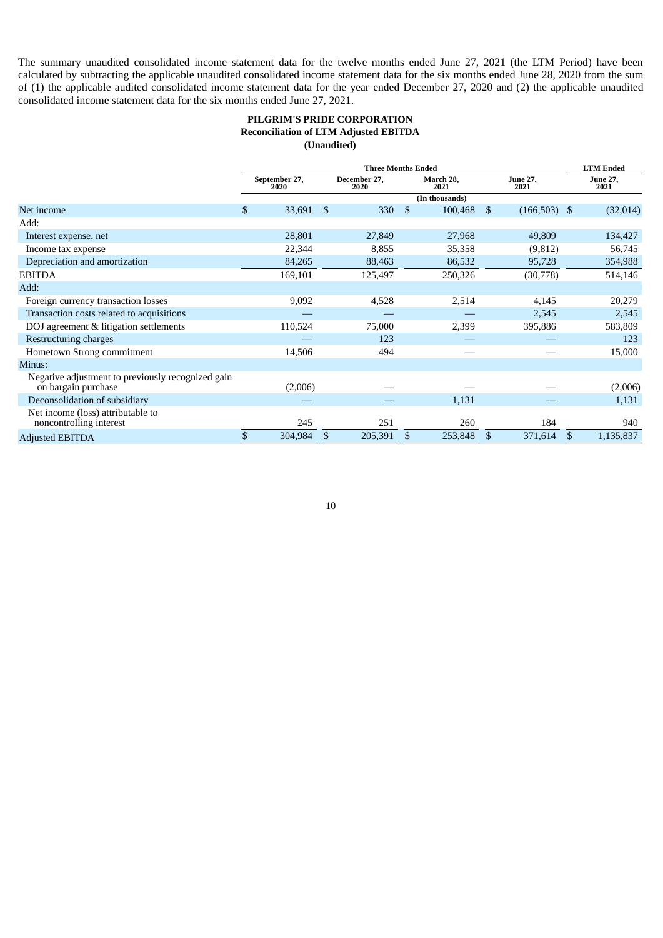The summary unaudited consolidated income statement data for the twelve months ended June 27, 2021 (the LTM Period) have been calculated by subtracting the applicable unaudited consolidated income statement data for the six months ended June 28, 2020 from the sum of (1) the applicable audited consolidated income statement data for the year ended December 27, 2020 and (2) the applicable unaudited consolidated income statement data for the six months ended June 27, 2021.

# **PILGRIM'S PRIDE CORPORATION Reconciliation of LTM Adjusted EBITDA (Unaudited)**

|                                                                          |                       | <b>LTM</b> Ended |                      |               |                   |                         |                         |
|--------------------------------------------------------------------------|-----------------------|------------------|----------------------|---------------|-------------------|-------------------------|-------------------------|
|                                                                          | September 27,<br>2020 |                  | December 27,<br>2020 |               | March 28.<br>2021 | <b>June 27,</b><br>2021 | <b>June 27.</b><br>2021 |
|                                                                          |                       |                  |                      |               | (In thousands)    |                         |                         |
| Net income                                                               | \$<br>33,691          | S                | 330                  | <sup>\$</sup> | 100,468           | \$<br>$(166,503)$ \$    | (32, 014)               |
| Add:                                                                     |                       |                  |                      |               |                   |                         |                         |
| Interest expense, net                                                    | 28,801                |                  | 27,849               |               | 27,968            | 49,809                  | 134,427                 |
| Income tax expense                                                       | 22,344                |                  | 8,855                |               | 35,358            | (9,812)                 | 56,745                  |
| Depreciation and amortization                                            | 84,265                |                  | 88,463               |               | 86,532            | 95,728                  | 354,988                 |
| <b>EBITDA</b>                                                            | 169,101               |                  | 125,497              |               | 250,326           | (30, 778)               | 514,146                 |
| Add:                                                                     |                       |                  |                      |               |                   |                         |                         |
| Foreign currency transaction losses                                      | 9,092                 |                  | 4,528                |               | 2,514             | 4,145                   | 20,279                  |
| Transaction costs related to acquisitions                                |                       |                  |                      |               |                   | 2,545                   | 2,545                   |
| DOJ agreement & litigation settlements                                   | 110,524               |                  | 75,000               |               | 2,399             | 395,886                 | 583,809                 |
| Restructuring charges                                                    |                       |                  | 123                  |               |                   |                         | 123                     |
| Hometown Strong commitment                                               | 14,506                |                  | 494                  |               |                   |                         | 15,000                  |
| Minus:                                                                   |                       |                  |                      |               |                   |                         |                         |
| Negative adjustment to previously recognized gain<br>on bargain purchase | (2,006)               |                  |                      |               |                   |                         | (2,006)                 |
| Deconsolidation of subsidiary                                            |                       |                  |                      |               | 1,131             |                         | 1,131                   |
| Net income (loss) attributable to<br>noncontrolling interest             | 245                   |                  | 251                  |               | 260               | 184                     | 940                     |
| <b>Adjusted EBITDA</b>                                                   | 304,984               | \$               | 205,391              | \$            | 253,848           | \$<br>371,614           | \$<br>1,135,837         |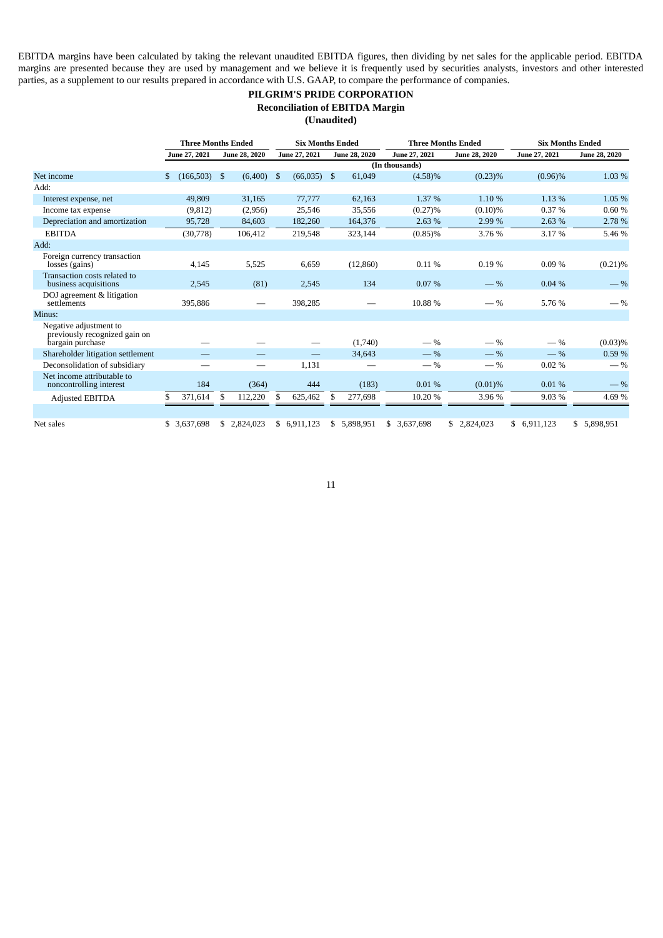EBITDA margins have been calculated by taking the relevant unaudited EBITDA figures, then dividing by net sales for the applicable period. EBITDA margins are presented because they are used by management and we believe it is frequently used by securities analysts, investors and other interested parties, as a supplement to our results prepared in accordance with U.S. GAAP, to compare the performance of companies.

# **PILGRIM'S PRIDE CORPORATION Reconciliation of EBITDA Margin (Unaudited)**

|                                                                             |               | <b>Three Months Ended</b> |    |               | <b>Six Months Ended</b> |          |               | <b>Three Months Ended</b> |    |               | <b>Six Months Ended</b> |  |               |  |  |
|-----------------------------------------------------------------------------|---------------|---------------------------|----|---------------|-------------------------|----------|---------------|---------------------------|----|---------------|-------------------------|--|---------------|--|--|
|                                                                             | June 27, 2021 |                           |    | June 28, 2020 | June 27, 2021           |          | June 28, 2020 | June 27, 2021             |    | June 28, 2020 | June 27, 2021           |  | June 28, 2020 |  |  |
|                                                                             |               |                           |    |               |                         |          |               | (In thousands)            |    |               |                         |  |               |  |  |
| Net income                                                                  | \$            | $(166, 503)$ \$           |    | $(6,400)$ \$  | (66, 035)               | <b>S</b> | 61.049        | $(4.58)\%$                |    | $(0.23)\%$    | $(0.96)\%$              |  | 1.03%         |  |  |
| Add:                                                                        |               |                           |    |               |                         |          |               |                           |    |               |                         |  |               |  |  |
| Interest expense, net                                                       |               | 49,809                    |    | 31,165        | 77,777                  |          | 62,163        | 1.37 %                    |    | 1.10 %        | 1.13 %                  |  | 1.05 %        |  |  |
| Income tax expense                                                          |               | (9, 812)                  |    | (2,956)       | 25,546                  |          | 35,556        | $(0.27)\%$                |    | $(0.10)\%$    | 0.37%                   |  | 0.60%         |  |  |
| Depreciation and amortization                                               |               | 95,728                    |    | 84,603        | 182,260                 |          | 164,376       | 2.63 %                    |    | 2.99 %        | 2.63 %                  |  | 2.78 %        |  |  |
| <b>EBITDA</b>                                                               |               | (30, 778)                 |    | 106,412       | 219,548                 |          | 323,144       | $(0.85)\%$                |    | 3.76 %        | 3.17%                   |  | 5.46 %        |  |  |
| Add:                                                                        |               |                           |    |               |                         |          |               |                           |    |               |                         |  |               |  |  |
| Foreign currency transaction<br>losses (gains)                              |               | 4,145                     |    | 5,525         | 6,659                   |          | (12,860)      | 0.11%                     |    | 0.19%         | 0.09%                   |  | $(0.21)\%$    |  |  |
| Transaction costs related to<br>business acquisitions                       |               | 2,545                     |    | (81)          | 2,545                   |          | 134           | 0.07%                     |    | $-$ %         | 0.04%                   |  | $-$ %         |  |  |
| DOJ agreement & litigation<br>settlements                                   |               | 395,886                   |    |               | 398,285                 |          |               | 10.88 %                   |    | $-$ %         | 5.76%                   |  | $-$ %         |  |  |
| Minus:                                                                      |               |                           |    |               |                         |          |               |                           |    |               |                         |  |               |  |  |
| Negative adjustment to<br>previously recognized gain on<br>bargain purchase |               |                           |    |               | —                       |          | (1,740)       | $-$ %                     |    | $-$ %         | $-$ %                   |  | $(0.03)\%$    |  |  |
| Shareholder litigation settlement                                           |               |                           |    |               |                         |          | 34,643        | $-$ %                     |    | $-$ %         | $-$ %                   |  | 0.59%         |  |  |
| Deconsolidation of subsidiary                                               |               |                           |    |               | 1,131                   |          | -             | $-$ %                     |    | $-$ %         | 0.02%                   |  | $-$ %         |  |  |
| Net income attributable to<br>noncontrolling interest                       |               | 184                       |    | (364)         | 444                     |          | (183)         | 0.01%                     |    | $(0.01)$ %    | 0.01%                   |  | $-$ %         |  |  |
| <b>Adjusted EBITDA</b>                                                      | S.            | 371,614                   | S. | 112.220       | 625,462                 | £.       | 277,698       | 10.20 %                   |    | 3.96 %        | 9.03%                   |  | 4.69%         |  |  |
|                                                                             |               |                           |    |               |                         |          |               |                           |    |               |                         |  |               |  |  |
| Net sales                                                                   | \$ 3,637,698  |                           | \$ | 2,824,023     | \$6,911,123             | \$       | 5,898,951     | \$ 3,637,698              | S. | 2,824,023     | \$6,911,123             |  | 5,898,951     |  |  |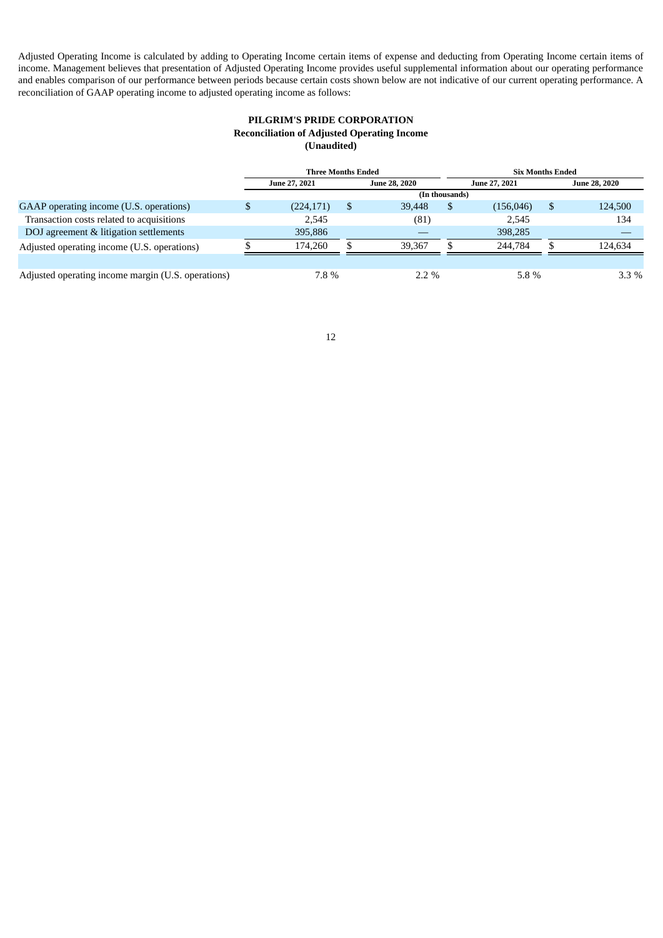Adjusted Operating Income is calculated by adding to Operating Income certain items of expense and deducting from Operating Income certain items of income. Management believes that presentation of Adjusted Operating Income provides useful supplemental information about our operating performance and enables comparison of our performance between periods because certain costs shown below are not indicative of our current operating performance. A reconciliation of GAAP operating income to adjusted operating income as follows:

# **PILGRIM'S PRIDE CORPORATION Reconciliation of Adjusted Operating Income (Unaudited)**

|                                                    |  | <b>Three Months Ended</b> |   |                      |                | <b>Six Months Ended</b> |   |                      |
|----------------------------------------------------|--|---------------------------|---|----------------------|----------------|-------------------------|---|----------------------|
|                                                    |  | June 27, 2021             |   | <b>June 28, 2020</b> |                | <b>June 27, 2021</b>    |   | <b>June 28, 2020</b> |
|                                                    |  |                           |   |                      | (In thousands) |                         |   |                      |
| GAAP operating income (U.S. operations)            |  | (224, 171)                | S | 39,448               | \$             | (156, 046)              | S | 124,500              |
| Transaction costs related to acquisitions          |  | 2,545                     |   | (81)                 |                | 2,545                   |   | 134                  |
| DOJ agreement & litigation settlements             |  | 395,886                   |   |                      |                | 398,285                 |   |                      |
| Adjusted operating income (U.S. operations)        |  | 174.260                   |   | 39.367               |                | 244,784                 |   | 124,634              |
|                                                    |  |                           |   |                      |                |                         |   |                      |
| Adjusted operating income margin (U.S. operations) |  |                           |   | $2.2\%$              |                | 5.8%                    |   | $3.3\%$              |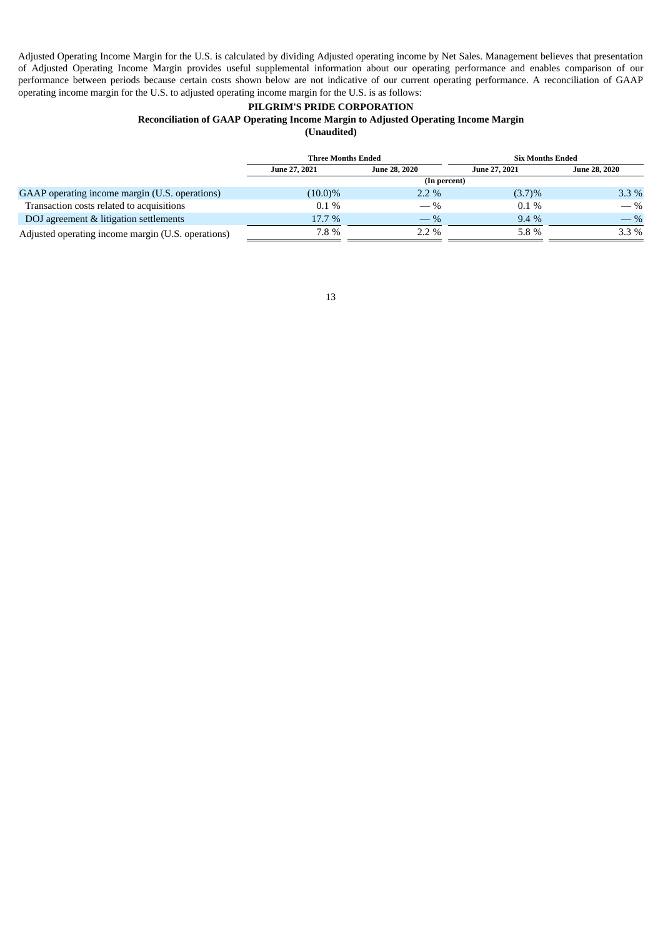Adjusted Operating Income Margin for the U.S. is calculated by dividing Adjusted operating income by Net Sales. Management believes that presentation of Adjusted Operating Income Margin provides useful supplemental information about our operating performance and enables comparison of our performance between periods because certain costs shown below are not indicative of our current operating performance. A reconciliation of GAAP operating income margin for the U.S. to adjusted operating income margin for the U.S. is as follows:

#### **PILGRIM'S PRIDE CORPORATION**

# **Reconciliation of GAAP Operating Income Margin to Adjusted Operating Income Margin**

**(Unaudited)**

|                                                    | <b>Three Months Ended</b> |                      | <b>Six Months Ended</b> |                      |
|----------------------------------------------------|---------------------------|----------------------|-------------------------|----------------------|
|                                                    | <b>June 27, 2021</b>      | <b>June 28, 2020</b> | June 27, 2021           | <b>June 28, 2020</b> |
|                                                    |                           | (In percent)         |                         |                      |
| GAAP operating income margin (U.S. operations)     | $(10.0)\%$                | $2.2\%$              | $(3.7)\%$               | $3.3\%$              |
| Transaction costs related to acquisitions          | $0.1\%$                   | $-$ %                | $0.1\%$                 | $-$ %                |
| DOJ agreement & litigation settlements             | 17.7 %                    | $-$ %                | $9.4\%$                 | $-$ %                |
| Adjusted operating income margin (U.S. operations) | 7.8 %                     | $2.2\%$              | 5.8%                    | $3.3\%$              |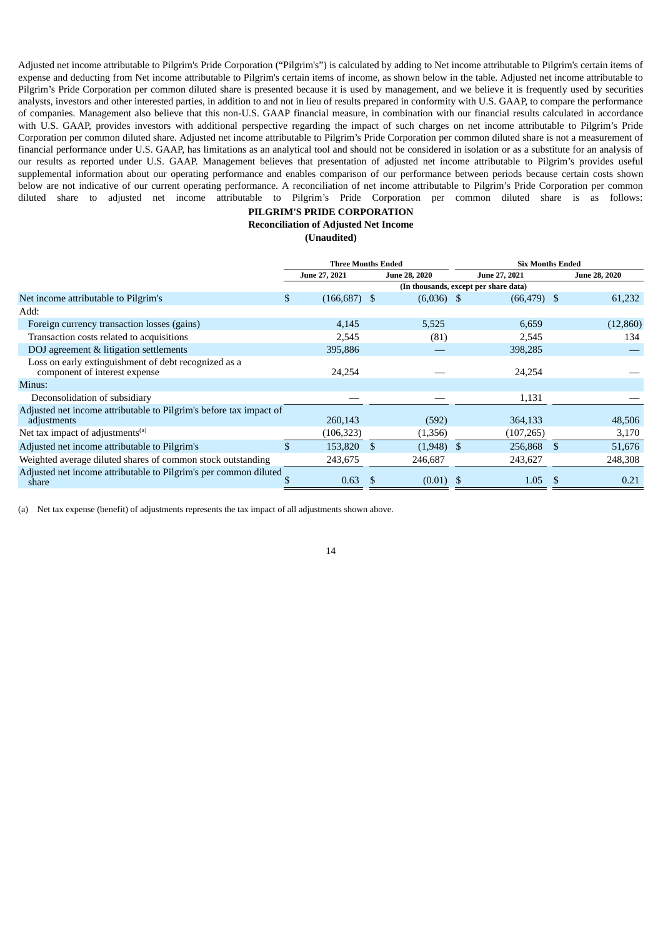Adjusted net income attributable to Pilgrim's Pride Corporation ("Pilgrim's") is calculated by adding to Net income attributable to Pilgrim's certain items of expense and deducting from Net income attributable to Pilgrim's certain items of income, as shown below in the table. Adjusted net income attributable to Pilgrim's Pride Corporation per common diluted share is presented because it is used by management, and we believe it is frequently used by securities analysts, investors and other interested parties, in addition to and not in lieu of results prepared in conformity with U.S. GAAP, to compare the performance of companies. Management also believe that this non-U.S. GAAP financial measure, in combination with our financial results calculated in accordance with U.S. GAAP, provides investors with additional perspective regarding the impact of such charges on net income attributable to Pilgrim's Pride Corporation per common diluted share. Adjusted net income attributable to Pilgrim's Pride Corporation per common diluted share is not a measurement of financial performance under U.S. GAAP, has limitations as an analytical tool and should not be considered in isolation or as a substitute for an analysis of our results as reported under U.S. GAAP. Management believes that presentation of adjusted net income attributable to Pilgrim's provides useful supplemental information about our operating performance and enables comparison of our performance between periods because certain costs shown below are not indicative of our current operating performance. A reconciliation of net income attributable to Pilgrim's Pride Corporation per common diluted share to adjusted net income attributable to Pilgrim's Pride Corporation per common diluted share is as follows:

# **PILGRIM'S PRIDE CORPORATION Reconciliation of Adjusted Net Income (Unaudited)**

|                                                                                       | <b>Three Months Ended</b> |    |                      | <b>Six Months Ended</b>               |               |                      |  |
|---------------------------------------------------------------------------------------|---------------------------|----|----------------------|---------------------------------------|---------------|----------------------|--|
|                                                                                       | June 27, 2021             |    | <b>June 28, 2020</b> | June 27, 2021                         |               | <b>June 28, 2020</b> |  |
|                                                                                       |                           |    |                      | (In thousands, except per share data) |               |                      |  |
| Net income attributable to Pilgrim's                                                  | \$<br>$(166, 687)$ \$     |    | $(6,036)$ \$         | $(66, 479)$ \$                        |               | 61,232               |  |
| Add:                                                                                  |                           |    |                      |                                       |               |                      |  |
| Foreign currency transaction losses (gains)                                           | 4,145                     |    | 5,525                | 6,659                                 |               | (12,860)             |  |
| Transaction costs related to acquisitions                                             | 2,545                     |    | (81)                 | 2,545                                 |               | 134                  |  |
| DOJ agreement & litigation settlements                                                | 395,886                   |    |                      | 398,285                               |               |                      |  |
| Loss on early extinguishment of debt recognized as a<br>component of interest expense | 24,254                    |    |                      | 24,254                                |               |                      |  |
| Minus:                                                                                |                           |    |                      |                                       |               |                      |  |
| Deconsolidation of subsidiary                                                         |                           |    |                      | 1,131                                 |               |                      |  |
| Adjusted net income attributable to Pilgrim's before tax impact of<br>adjustments     | 260,143                   |    | (592)                | 364,133                               |               | 48,506               |  |
| Net tax impact of adjustments <sup>(a)</sup>                                          | (106, 323)                |    | (1,356)              | (107, 265)                            |               | 3,170                |  |
| Adjusted net income attributable to Pilgrim's                                         | 153,820                   | -S | $(1,948)$ \$         | 256,868                               | <sup>\$</sup> | 51,676               |  |
| Weighted average diluted shares of common stock outstanding                           | 243,675                   |    | 246,687              | 243,627                               |               | 248,308              |  |
| Adjusted net income attributable to Pilgrim's per common diluted<br>share             | 0.63                      | -S | (0.01)               | 1.05                                  | Ъ             | 0.21                 |  |

(a) Net tax expense (benefit) of adjustments represents the tax impact of all adjustments shown above.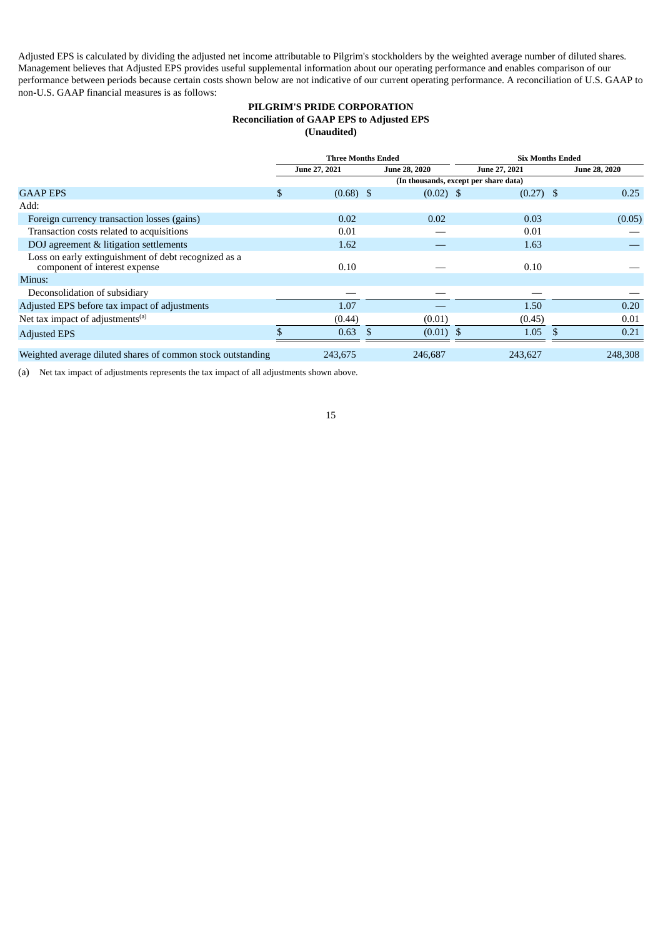Adjusted EPS is calculated by dividing the adjusted net income attributable to Pilgrim's stockholders by the weighted average number of diluted shares. Management believes that Adjusted EPS provides useful supplemental information about our operating performance and enables comparison of our performance between periods because certain costs shown below are not indicative of our current operating performance. A reconciliation of U.S. GAAP to non-U.S. GAAP financial measures is as follows:

#### **PILGRIM'S PRIDE CORPORATION Reconciliation of GAAP EPS to Adjusted EPS (Unaudited)**

|                                                                                       | <b>Three Months Ended</b> |                      | <b>Six Months Ended</b> |                                       |  |                      |  |
|---------------------------------------------------------------------------------------|---------------------------|----------------------|-------------------------|---------------------------------------|--|----------------------|--|
|                                                                                       | June 27, 2021             | <b>June 28, 2020</b> |                         | June 27, 2021                         |  | <b>June 28, 2020</b> |  |
|                                                                                       |                           |                      |                         | (In thousands, except per share data) |  |                      |  |
| <b>GAAP EPS</b>                                                                       | \$<br>$(0.68)$ \$         | $(0.02)$ \$          |                         | $(0.27)$ \$                           |  | 0.25                 |  |
| Add:                                                                                  |                           |                      |                         |                                       |  |                      |  |
| Foreign currency transaction losses (gains)                                           | 0.02                      | 0.02                 |                         | 0.03                                  |  | (0.05)               |  |
| Transaction costs related to acquisitions                                             | 0.01                      |                      |                         | 0.01                                  |  |                      |  |
| DOJ agreement & litigation settlements                                                | 1.62                      |                      |                         | 1.63                                  |  |                      |  |
| Loss on early extinguishment of debt recognized as a<br>component of interest expense | 0.10                      |                      |                         | 0.10                                  |  |                      |  |
| Minus:                                                                                |                           |                      |                         |                                       |  |                      |  |
| Deconsolidation of subsidiary                                                         |                           |                      |                         |                                       |  |                      |  |
| Adjusted EPS before tax impact of adjustments                                         | 1.07                      |                      |                         | 1.50                                  |  | 0.20                 |  |
| Net tax impact of adjustments <sup>(a)</sup>                                          | (0.44)                    | (0.01)               |                         | (0.45)                                |  | 0.01                 |  |
| <b>Adjusted EPS</b>                                                                   | 0.63                      | $(0.01)$ \$          |                         | 1.05                                  |  | 0.21                 |  |
| Weighted average diluted shares of common stock outstanding                           | 243,675                   | 246,687              |                         | 243,627                               |  | 248,308              |  |

(a) Net tax impact of adjustments represents the tax impact of all adjustments shown above.